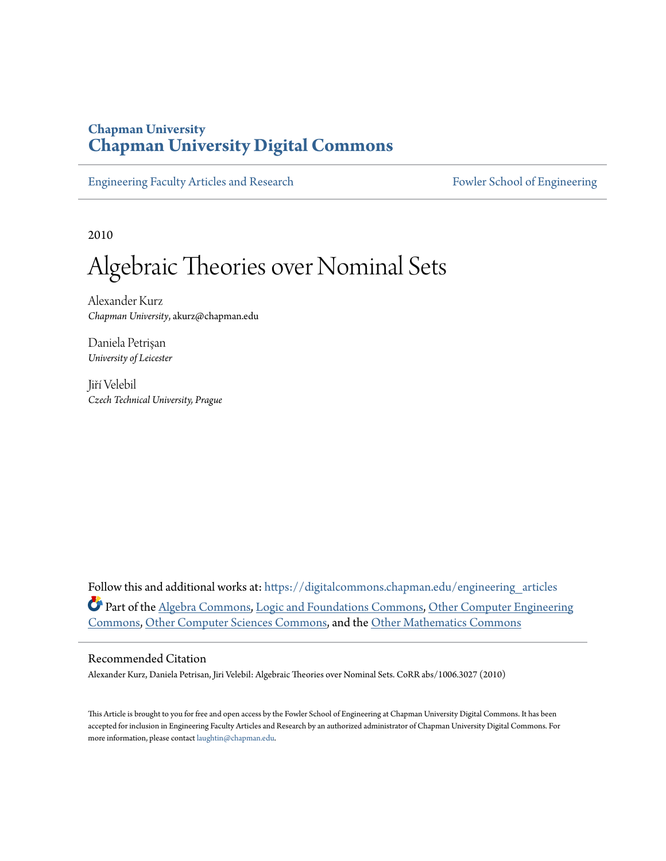## **Chapman University [Chapman University Digital Commons](https://digitalcommons.chapman.edu?utm_source=digitalcommons.chapman.edu%2Fengineering_articles%2F65&utm_medium=PDF&utm_campaign=PDFCoverPages)**

[Engineering Faculty Articles and Research](https://digitalcommons.chapman.edu/engineering_articles?utm_source=digitalcommons.chapman.edu%2Fengineering_articles%2F65&utm_medium=PDF&utm_campaign=PDFCoverPages) [Fowler School of Engineering](https://digitalcommons.chapman.edu/fowler_engineering?utm_source=digitalcommons.chapman.edu%2Fengineering_articles%2F65&utm_medium=PDF&utm_campaign=PDFCoverPages)

2010

# Algebraic Theories over Nominal Sets

Alexander Kurz *Chapman University*, akurz@chapman.edu

Daniela Petrişan *University of Leicester*

Jiří Velebil *Czech Technical University, Prague*

Follow this and additional works at: [https://digitalcommons.chapman.edu/engineering\\_articles](https://digitalcommons.chapman.edu/engineering_articles?utm_source=digitalcommons.chapman.edu%2Fengineering_articles%2F65&utm_medium=PDF&utm_campaign=PDFCoverPages) Part of the [Algebra Commons,](http://network.bepress.com/hgg/discipline/175?utm_source=digitalcommons.chapman.edu%2Fengineering_articles%2F65&utm_medium=PDF&utm_campaign=PDFCoverPages) [Logic and Foundations Commons](http://network.bepress.com/hgg/discipline/182?utm_source=digitalcommons.chapman.edu%2Fengineering_articles%2F65&utm_medium=PDF&utm_campaign=PDFCoverPages), [Other Computer Engineering](http://network.bepress.com/hgg/discipline/265?utm_source=digitalcommons.chapman.edu%2Fengineering_articles%2F65&utm_medium=PDF&utm_campaign=PDFCoverPages) [Commons,](http://network.bepress.com/hgg/discipline/265?utm_source=digitalcommons.chapman.edu%2Fengineering_articles%2F65&utm_medium=PDF&utm_campaign=PDFCoverPages) [Other Computer Sciences Commons,](http://network.bepress.com/hgg/discipline/152?utm_source=digitalcommons.chapman.edu%2Fengineering_articles%2F65&utm_medium=PDF&utm_campaign=PDFCoverPages) and the [Other Mathematics Commons](http://network.bepress.com/hgg/discipline/185?utm_source=digitalcommons.chapman.edu%2Fengineering_articles%2F65&utm_medium=PDF&utm_campaign=PDFCoverPages)

### Recommended Citation

Alexander Kurz, Daniela Petrisan, Jiri Velebil: Algebraic Theories over Nominal Sets. CoRR abs/1006.3027 (2010)

This Article is brought to you for free and open access by the Fowler School of Engineering at Chapman University Digital Commons. It has been accepted for inclusion in Engineering Faculty Articles and Research by an authorized administrator of Chapman University Digital Commons. For more information, please contact [laughtin@chapman.edu](mailto:laughtin@chapman.edu).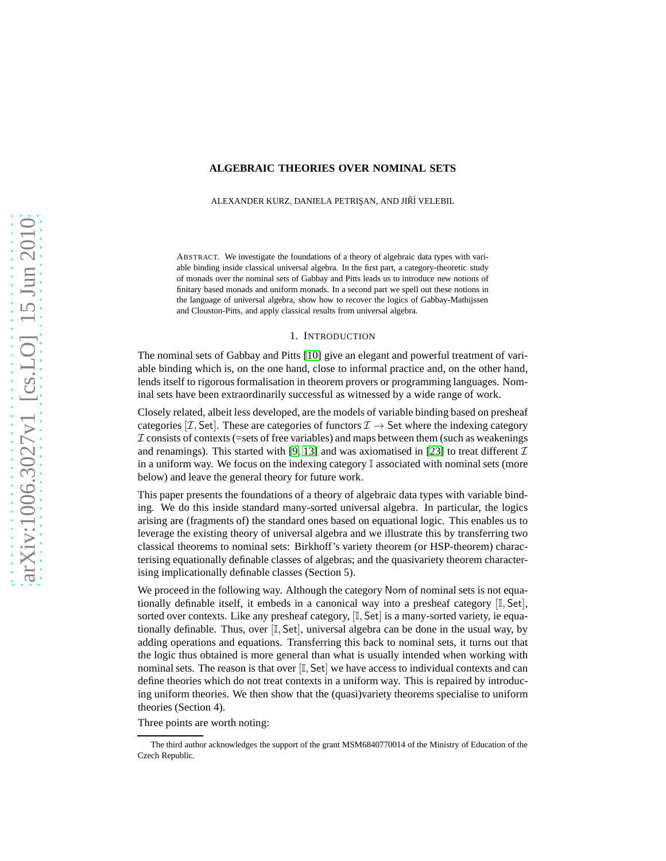#### **ALGEBRAIC THEORIES OVER NOMINAL SETS**

ALEXANDER KURZ, DANIELA PETRISAN, AND JIŘÍ VELEBIL

ABSTRACT. We investigate the foundations of a theory of algebraic data types with variable binding inside classical universal algebra. In the first part, a category-theoretic study of monads over the nominal sets of Gabbay and Pitts leads us to introduce new notions of finitary based monads and uniform monads. In a second part we spell out these notions in the language of universal algebra, show how to recover the logics of Gabbay-Mathijssen and Clouston-Pitts, and apply classical results from universal algebra.

#### 1. INTRODUCTION

The nominal sets of Gabbay and Pitts [\[10\]](#page-15-0) give an elegant and powerful treatment of variable binding which is, on the one hand, close to informal practice and, on the other hand, lends itself to rigorous formalisation in theorem provers or programming languages. Nominal sets have been extraordinarily successful as witnessed by a wide range of work.

Closely related, albeit less developed, are the models of variable binding based on presheaf categories [ $\mathcal{I}$ , Set]. These are categories of functors  $\mathcal{I} \to$  Set where the indexing category  $\mathcal I$  consists of contexts (=sets of free variables) and maps between them (such as weakenings and renamings). This started with [\[9,](#page-15-1) [13\]](#page-15-2) and was axiomatised in [\[23\]](#page-16-0) to treat different  $\mathcal I$ in a uniform way. We focus on the indexing category  $\mathbb I$  associated with nominal sets (more below) and leave the general theory for future work.

This paper presents the foundations of a theory of algebraic data types with variable binding. We do this inside standard many-sorted universal algebra. In particular, the logics arising are (fragments of) the standard ones based on equational logic. This enables us to leverage the existing theory of universal algebra and we illustrate this by transferring two classical theorems to nominal sets: Birkhoff's variety theorem (or HSP-theorem) characterising equationally definable classes of algebras; and the quasivariety theorem characterising implicationally definable classes (Section 5).

We proceed in the following way. Although the category Nom of nominal sets is not equationally definable itself, it embeds in a canonical way into a presheaf category [I, Set], sorted over contexts. Like any presheaf category,  $[I, Set]$  is a many-sorted variety, ie equationally definable. Thus, over  $[I, Set]$ , universal algebra can be done in the usual way, by adding operations and equations. Transferring this back to nominal sets, it turns out that the logic thus obtained is more general than what is usually intended when working with nominal sets. The reason is that over  $[I, Set]$  we have access to individual contexts and can define theories which do not treat contexts in a uniform way. This is repaired by introducing uniform theories. We then show that the (quasi)variety theorems specialise to uniform theories (Section 4).

Three points are worth noting:

The third author acknowledges the support of the grant MSM6840770014 of the Ministry of Education of the Czech Republic.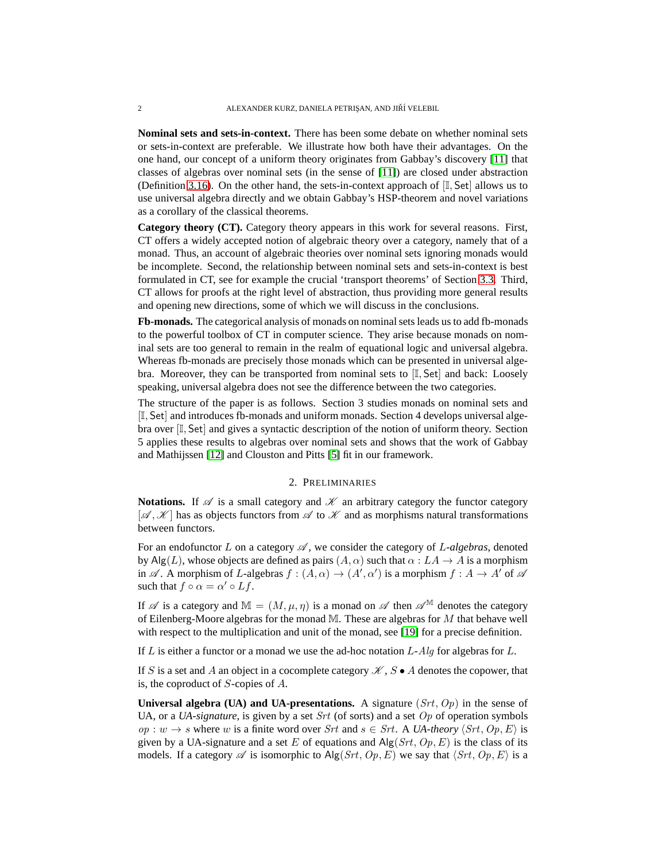**Nominal sets and sets-in-context.** There has been some debate on whether nominal sets or sets-in-context are preferable. We illustrate how both have their advantages. On the one hand, our concept of a uniform theory originates from Gabbay's discovery [\[11\]](#page-15-3) that classes of algebras over nominal sets (in the sense of [\[11\]](#page-15-3)) are closed under abstraction (Definition [3.16\)](#page-7-0). On the other hand, the sets-in-context approach of  $[\mathbb{I}, \mathsf{Set}]$  allows us to use universal algebra directly and we obtain Gabbay's HSP-theorem and novel variations as a corollary of the classical theorems.

**Category theory (CT).** Category theory appears in this work for several reasons. First, CT offers a widely accepted notion of algebraic theory over a category, namely that of a monad. Thus, an account of algebraic theories over nominal sets ignoring monads would be incomplete. Second, the relationship between nominal sets and sets-in-context is best formulated in CT, see for example the crucial 'transport theorems' of Section [3.3.](#page-6-0) Third, CT allows for proofs at the right level of abstraction, thus providing more general results and opening new directions, some of which we will discuss in the conclusions.

**Fb-monads.** The categorical analysis of monads on nominal sets leads us to add fb-monads to the powerful toolbox of CT in computer science. They arise because monads on nominal sets are too general to remain in the realm of equational logic and universal algebra. Whereas fb-monads are precisely those monads which can be presented in universal algebra. Moreover, they can be transported from nominal sets to  $[I, Set]$  and back: Loosely speaking, universal algebra does not see the difference between the two categories.

The structure of the paper is as follows. Section 3 studies monads on nominal sets and [I, Set] and introduces fb-monads and uniform monads. Section 4 develops universal algebra over [I, Set] and gives a syntactic description of the notion of uniform theory. Section 5 applies these results to algebras over nominal sets and shows that the work of Gabbay and Mathijssen [\[12\]](#page-15-4) and Clouston and Pitts [\[5\]](#page-15-5) fit in our framework.

#### 2. PRELIMINARIES

<span id="page-2-0"></span>**Notations.** If  $\mathscr A$  is a small category and  $\mathscr K$  an arbitrary category the functor category  $[\mathscr{A}, \mathscr{K}]$  has as objects functors from  $\mathscr{A}$  to  $\mathscr{K}$  and as morphisms natural transformations between functors.

For an endofunctor L on a category  $\mathscr A$ , we consider the category of L-algebras, denoted by Alg(L), whose objects are defined as pairs  $(A, \alpha)$  such that  $\alpha : LA \rightarrow A$  is a morphism in  $\mathscr A$ . A morphism of L-algebras  $f : (A, \alpha) \to (A', \alpha')$  is a morphism  $f : A \to A'$  of  $\mathscr A$ such that  $f \circ \alpha = \alpha' \circ Lf$ .

If  $\mathscr A$  is a category and  $\mathbb M = (M, \mu, \eta)$  is a monad on  $\mathscr A$  then  $\mathscr A^{\mathbb M}$  denotes the category of Eilenberg-Moore algebras for the monad  $\mathbb{M}$ . These are algebras for M that behave well with respect to the multiplication and unit of the monad, see [\[19\]](#page-16-1) for a precise definition.

If  $L$  is either a functor or a monad we use the ad-hoc notation  $L$ -Alg for algebras for  $L$ .

If S is a set and A an object in a cocomplete category  $\mathcal{K}, S \bullet A$  denotes the copower, that is, the coproduct of S-copies of A.

**Universal algebra (UA) and UA-presentations.** A signature  $(Str, Op)$  in the sense of UA, or a *UA-signature*, is given by a set *Srt* (of sorts) and a set *Op* of operation symbols *op* : *w* → *s* where *w* is a finite word over Srt and  $s \in Srt$ . A *UA-theory*  $\langle Srt, Op, E \rangle$  is given by a UA-signature and a set E of equations and  $\text{Alg}(Srt, Op, E)$  is the class of its models. If a category  $\mathscr A$  is isomorphic to Alg(Srt, Op, E) we say that  $\langle Srt, Op, E \rangle$  is a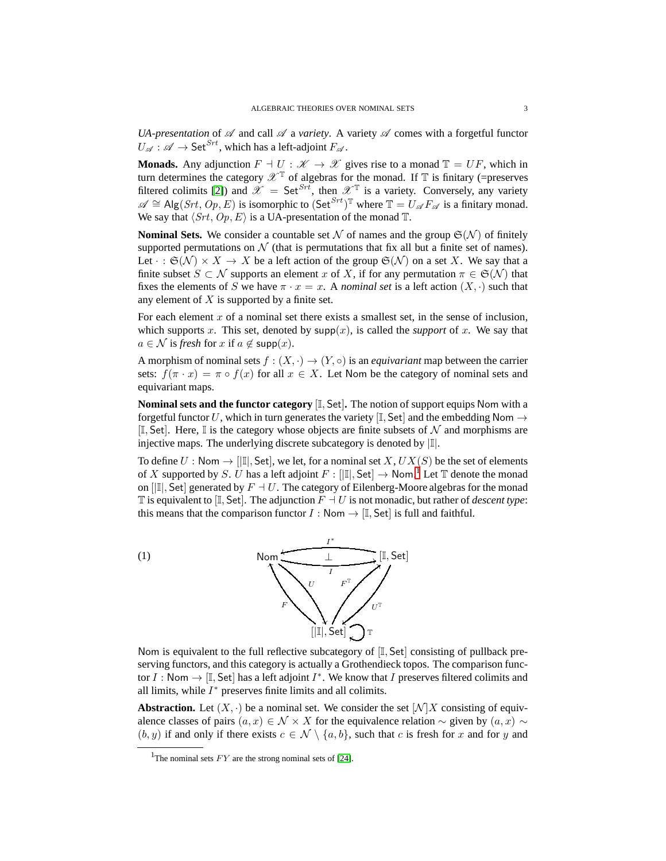*UA-presentation* of  $\mathscr A$  and call  $\mathscr A$  a *variety*. A variety  $\mathscr A$  comes with a forgetful functor  $U_{\alpha}: \mathscr{A} \to \mathsf{Set}^{Srt}$ , which has a left-adjoint  $F_{\alpha}$ .

**Monads.** Any adjunction  $F \dashv U : \mathcal{K} \to \mathcal{X}$  gives rise to a monad  $\mathbb{T} = UF$ , which in turn determines the category  $\mathscr{X}^{\mathbb{T}}$  of algebras for the monad. If  $\mathbb{T}$  is finitary (=preserves filtered colimits [\[2\]](#page-15-6)) and  $\mathscr{X} = \mathsf{Set}^{Srt}$ , then  $\mathscr{X}^{\mathbb{T}}$  is a variety. Conversely, any variety  $\mathscr{A} \cong \text{Alg}(Srt, Op, E)$  is isomorphic to  $(\text{Set}^{Srt})^{\mathbb{T}}$  where  $\mathbb{T} = U_{\mathscr{A}} F_{\mathscr{A}}$  is a finitary monad. We say that  $\langle Srt, Op, E \rangle$  is a UA-presentation of the monad T.

**Nominal Sets.** We consider a countable set N of names and the group  $\mathfrak{S}(\mathcal{N})$  of finitely supported permutations on  $N$  (that is permutations that fix all but a finite set of names). Let  $\cdot : \mathfrak{S}(\mathcal{N}) \times X \to X$  be a left action of the group  $\mathfrak{S}(\mathcal{N})$  on a set X. We say that a finite subset  $S \subset \mathcal{N}$  supports an element x of X, if for any permutation  $\pi \in \mathfrak{S}(\mathcal{N})$  that fixes the elements of S we have  $\pi \cdot x = x$ . A *nominal set* is a left action  $(X, \cdot)$  such that any element of  $X$  is supported by a finite set.

For each element  $x$  of a nominal set there exists a smallest set, in the sense of inclusion, which supports x. This set, denoted by  $supp(x)$ , is called the *support* of x. We say that  $a \in \mathcal{N}$  is *fresh* for x if  $a \notin \text{supp}(x)$ .

A morphism of nominal sets  $f : (X, \cdot) \to (Y, \circ)$  is an *equivariant* map between the carrier sets:  $f(\pi \cdot x) = \pi \circ f(x)$  for all  $x \in X$ . Let Nom be the category of nominal sets and equivariant maps.

**Nominal sets and the functor category** [I, Set]**.** The notion of support equips Nom with a forgetful functor U, which in turn generates the variety [I, Set] and the embedding Nom  $\rightarrow$  $[I, Set]$ . Here, I is the category whose objects are finite subsets of  $N$  and morphisms are injective maps. The underlying discrete subcategory is denoted by  $|\mathbb{I}|$ .

To define  $U : \mathsf{Nom} \to [\mathbb{I}], \mathsf{Set}$ , we let, for a nominal set  $X, UX(S)$  be the set of elements of X supported by S. U has a left adjoint  $F : [[\mathbb{I}], \mathsf{Set}] \to \mathsf{Nom}$ . Let  $\mathbb T$  denote the monad on  $\left[\mathbb{II}, \mathsf{Set}\right]$  generated by  $F \dashv U$ . The category of Eilenberg-Moore algebras for the monad T is equivalent to [I, Set]. The adjunction  $F \dashv U$  is not monadic, but rather of *descent type*: this means that the comparison functor  $I : \mathsf{Nom} \to [\mathbb{I}, \mathsf{Set}]$  is full and faithful.

<span id="page-3-1"></span>

Nom is equivalent to the full reflective subcategory of  $[I, Set]$  consisting of pullback preserving functors, and this category is actually a Grothendieck topos. The comparison functor I : Nom  $\rightarrow$  [I, Set] has a left adjoint  $I^*$ . We know that I preserves filtered colimits and all limits, while  $I^*$  preserves finite limits and all colimits.

**Abstraction.** Let  $(X, \cdot)$  be a nominal set. We consider the set  $[N]X$  consisting of equivalence classes of pairs  $(a, x) \in \mathcal{N} \times X$  for the equivalence relation  $\sim$  given by  $(a, x) \sim$  $(b, y)$  if and only if there exists  $c \in \mathcal{N} \setminus \{a, b\}$ , such that c is fresh for x and for y and

<span id="page-3-0"></span><sup>&</sup>lt;sup>1</sup>The nominal sets  $FY$  are the strong nominal sets of [\[24\]](#page-16-2).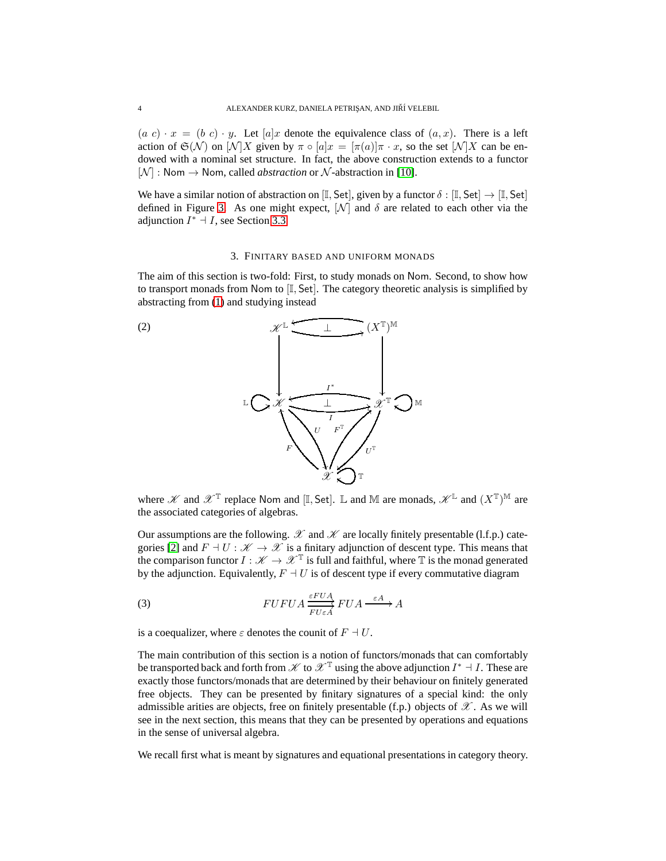$(a c) \cdot x = (b c) \cdot y$ . Let  $[a]x$  denote the equivalence class of  $(a, x)$ . There is a left action of  $\mathfrak{S}(\mathcal{N})$  on  $[\mathcal{N}]X$  given by  $\pi \circ [a]x = [\pi(a)]\pi \cdot x$ , so the set  $[\mathcal{N}]X$  can be endowed with a nominal set structure. In fact, the above construction extends to a functor  $[N] : \text{Nom} \rightarrow \text{Nom}, \text{called } abstraction \text{ or } \mathcal{N}\text{-abstraction in [10].}$  $[N] : \text{Nom} \rightarrow \text{Nom}, \text{called } abstraction \text{ or } \mathcal{N}\text{-abstraction in [10].}$  $[N] : \text{Nom} \rightarrow \text{Nom}, \text{called } abstraction \text{ or } \mathcal{N}\text{-abstraction in [10].}$ 

We have a similar notion of abstraction on  $[\mathbb{I}, \mathsf{Set}]$ , given by a functor  $\delta : [\mathbb{I}, \mathsf{Set}] \to [\mathbb{I}, \mathsf{Set}]$ defined in Figure [3.](#page-9-0) As one might expect,  $[\mathcal{N}]$  and  $\delta$  are related to each other via the adjunction  $I^* \dashv I$ , see Section [3.3.](#page-6-0)

#### 3. FINITARY BASED AND UNIFORM MONADS

<span id="page-4-1"></span>The aim of this section is two-fold: First, to study monads on Nom. Second, to show how to transport monads from Nom to  $[I, Set]$ . The category theoretic analysis is simplified by abstracting from [\(1\)](#page-3-1) and studying instead



where  $\mathscr K$  and  $\mathscr X^{\mathbb T}$  replace Nom and [I, Set]. L and M are monads,  $\mathscr K^{\mathbb L}$  and  $(X^{\mathbb T})^{\mathbb M}$  are the associated categories of algebras.

Our assumptions are the following.  $\mathscr X$  and  $\mathscr K$  are locally finitely presentable (l.f.p.) cate-gories [\[2\]](#page-15-6) and  $F \dashv U : \mathcal{K} \to \mathcal{X}$  is a finitary adjunction of descent type. This means that the comparison functor  $I : \mathscr{K} \to \mathscr{X}^T$  is full and faithful, where T is the monad generated by the adjunction. Equivalently,  $F \dashv U$  is of descent type if every commutative diagram

<span id="page-4-0"></span>(3) 
$$
FUFUA \xrightarrow{EFUA} FUA \xrightarrow{Ed} FUA \xrightarrow{\varepsilon A} A
$$

is a coequalizer, where  $\varepsilon$  denotes the counit of  $F \dashv U$ .

The main contribution of this section is a notion of functors/monads that can comfortably be transported back and forth from  $\mathscr K$  to  $\mathscr X^{\mathbb T}$  using the above adjunction  $I^* \dashv I$ . These are exactly those functors/monads that are determined by their behaviour on finitely generated free objects. They can be presented by finitary signatures of a special kind: the only admissible arities are objects, free on finitely presentable (f.p.) objects of  $\mathscr{X}$ . As we will see in the next section, this means that they can be presented by operations and equations in the sense of universal algebra.

We recall first what is meant by signatures and equational presentations in category theory.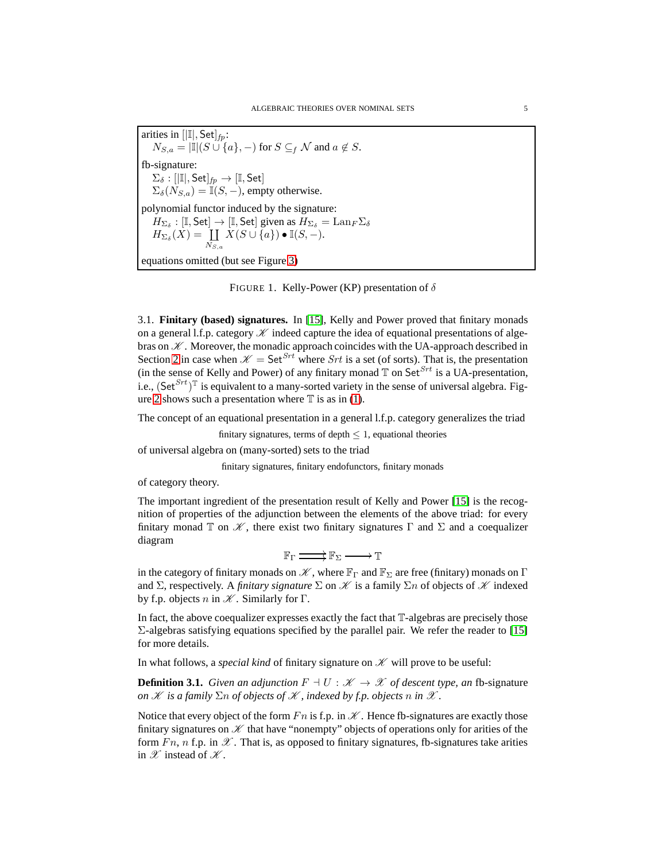arities in  $[|I|, Set]_{fp}$ :  $N_{S,a} = |\mathbb{I}|(S \cup \{a\}, -)$  for  $S \subseteq_f \mathcal{N}$  and  $a \notin S$ . fb-signature:  $\Sigma_{\delta} : [|\mathbb{I}|, \mathsf{Set}]_{\mathit{fp}} \to [\mathbb{I}, \mathsf{Set}]$  $\Sigma_{\delta}(N_{S,a}) = \overline{\mathbb{I}}(S,-)$ , empty otherwise. polynomial functor induced by the signature:  $H_{\Sigma_{\delta}} : [\mathbb{I}, \mathsf{Set}] \to [\mathbb{I}, \mathsf{Set}]$  given as  $H_{\Sigma_{\delta}} = \mathrm{Lan}_F \Sigma_{\delta}$  $H_{\Sigma_{\delta}}(X) = \coprod$  $N_{S,a}$  $X(S \cup \{a\}) \bullet \mathbb{I}(S, -).$ equations omitted (but see Figure [3\)](#page-9-0)

<span id="page-5-0"></span>FIGURE 1. Kelly-Power (KP) presentation of  $\delta$ 

3.1. **Finitary (based) signatures.** In [\[15\]](#page-16-3), Kelly and Power proved that finitary monads on a general l.f.p. category  $\mathscr K$  indeed capture the idea of equational presentations of algebras on  $K$ . Moreover, the monadic approach coincides with the UA-approach described in Section [2](#page-2-0) in case when  $\mathcal{K} = \mathsf{Set}^{Srt}$  where Srt is a set (of sorts). That is, the presentation (in the sense of Kelly and Power) of any finitary monad  $\mathbb T$  on Set<sup>Srt</sup> is a UA-presentation, i.e.,  $(\textsf{Set}^{Srt})^T$  is equivalent to a many-sorted variety in the sense of universal algebra. Fig-ure [2](#page-8-0) shows such a presentation where  $\mathbb T$  is as in [\(1\)](#page-3-1).

The concept of an equational presentation in a general l.f.p. category generalizes the triad

finitary signatures, terms of depth  $\leq 1$ , equational theories

of universal algebra on (many-sorted) sets to the triad

finitary signatures, finitary endofunctors, finitary monads

of category theory.

The important ingredient of the presentation result of Kelly and Power [\[15\]](#page-16-3) is the recognition of properties of the adjunction between the elements of the above triad: for every finitary monad T on  $\mathcal K$ , there exist two finitary signatures  $\Gamma$  and  $\Sigma$  and a coequalizer diagram

 $\mathbb{F}_{\Gamma} \longrightarrow \mathbb{F}_{\Sigma} \longrightarrow \mathbb{T}$ 

in the category of finitary monads on  $\mathscr K$ , where  $\mathbb F_{\Gamma}$  and  $\mathbb F_{\Sigma}$  are free (finitary) monads on  $\Gamma$ and  $\Sigma$ , respectively. A *finitary signature*  $\Sigma$  on  $K$  is a family  $\Sigma n$  of objects of  $K$  indexed by f.p. objects n in  $K$ . Similarly for  $\Gamma$ .

In fact, the above coequalizer expresses exactly the fact that T-algebras are precisely those  $\Sigma$ -algebras satisfying equations specified by the parallel pair. We refer the reader to [\[15\]](#page-16-3) for more details.

In what follows, a *special kind* of finitary signature on  $K$  will prove to be useful:

**Definition 3.1.** *Given an adjunction*  $F \dashv U : \mathcal{K} \to \mathcal{K}$  *of descent type, an fb*-signature *on*  $K$  *is a family*  $\Sigma n$  *of objects of*  $K$ *, indexed by f.p. objects* n *in*  $K$ *.* 

Notice that every object of the form  $Fn$  is f.p. in  $K$ . Hence fb-signatures are exactly those finitary signatures on  $K$  that have "nonempty" objects of operations only for arities of the form  $Fn$ , n f.p. in  $\mathscr X$ . That is, as opposed to finitary signatures, fb-signatures take arities in  $\mathscr X$  instead of  $\mathscr K$ .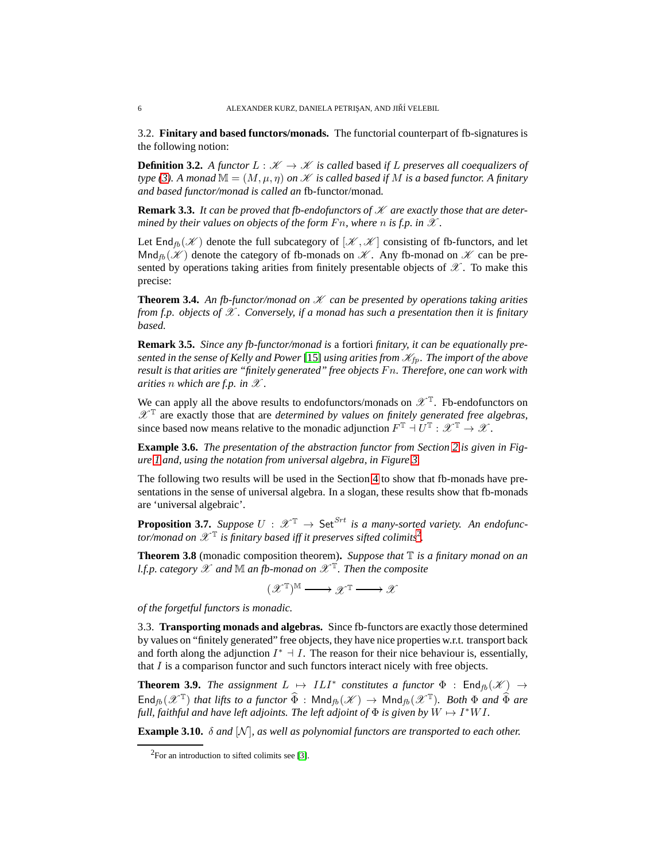3.2. **Finitary and based functors/monads.** The functorial counterpart of fb-signatures is the following notion:

**Definition 3.2.** A functor  $L : \mathcal{K} \to \mathcal{K}$  is called based if L preserves all coequalizers of *type* [\(3\)](#page-4-0). A monad  $\mathbb{M} = (M, \mu, \eta)$  *on*  $\mathscr K$  *is called based if* M *is a based functor.* A *finitary and based functor/monad is called an* fb-functor/monad*.*

**Remark 3.3.** It can be proved that fb-endofunctors of  $K$  are exactly those that are deter*mined by their values on objects of the form*  $Fn$ *, where* n *is f.p. in*  $\mathscr X$ .

Let End<sub>fb</sub>  $(\mathscr{K})$  denote the full subcategory of  $[\mathscr{K}, \mathscr{K}]$  consisting of fb-functors, and let  $\text{Mnd}_{\text{fb}}(\mathcal{K})$  denote the category of fb-monads on  $\mathcal{K}$ . Any fb-monad on  $\mathcal{K}$  can be presented by operations taking arities from finitely presentable objects of  $\mathscr{X}$ . To make this precise:

**Theorem 3.4.** An fb-functor/monad on  $K$  can be presented by operations taking arities *from f.p. objects of* X *. Conversely, if a monad has such a presentation then it is finitary based.*

**Remark 3.5.** *Since any fb-functor/monad is* a fortiori *finitary, it can be equationally presented in the sense of Kelly and Power* [\[15\]](#page-16-3) *using arities from*  $\mathcal{K}_{fp}$ *. The import of the above result is that arities are "finitely generated" free objects* F n*. Therefore, one can work with arities n* which are f.p. in  $\mathscr X$ .

We can apply all the above results to endofunctors/monads on  $\mathscr{X}^{\mathbb{T}}$ . Fb-endofunctors on  $\mathscr{X}^{\mathbb{T}}$  are exactly those that are *determined by values on finitely generated free algebras*, since based now means relative to the monadic adjunction  $F^{\mathbb{T}} \dashv U^{\mathbb{T}} : \mathscr{X}^{\mathbb{T}} \to \mathscr{X}$ .

**Example 3.6.** *The presentation of the abstraction functor from Section [2](#page-2-0) is given in Figure [1](#page-5-0) and, using the notation from universal algebra, in Figure [3.](#page-9-0)*

The following two results will be used in the Section [4](#page-8-1) to show that fb-monads have presentations in the sense of universal algebra. In a slogan, these results show that fb-monads are 'universal algebraic'.

<span id="page-6-2"></span>**Proposition 3.7.** *Suppose*  $U : \mathscr{X}^{\mathbb{T}} \to \mathsf{Set}^{Srt}$  *is a many-sorted variety. An endofunc*tor/monad on  $\mathscr{X}^{\mathbb{T}}$  is finitary based iff it preserves sifted colimits<sup>[2](#page-6-1)</sup>.

<span id="page-6-3"></span>**Theorem 3.8** (monadic composition theorem)**.** *Suppose that* T *is a finitary monad on an l.f.p. category* X *and* M *an fb-monad on* X <sup>T</sup> *. Then the composite*

$$
(\mathscr{X}^{\mathbb{T}})^{\mathbb{M}} \longrightarrow \mathscr{X}^{\mathbb{T}} \longrightarrow \mathscr{X}
$$

<span id="page-6-0"></span>*of the forgetful functors is monadic.*

3.3. **Transporting monads and algebras.** Since fb-functors are exactly those determined by values on "finitely generated" free objects, they have nice properties w.r.t. transport back and forth along the adjunction  $I^* \dashv I$ . The reason for their nice behaviour is, essentially, that  $I$  is a comparison functor and such functors interact nicely with free objects.

**Theorem 3.9.** *The assignment*  $L \mapsto ILI^*$  *constitutes a functor*  $\Phi$  :  $\text{End}_{fb}(\mathcal{K}) \rightarrow$  $\textsf{End}_{\textit{fb}}(\mathscr{X}^{\mathbb{T}})$  *that lifts to a functor*  $\widehat{\Phi}$  :  $\textsf{Mnd}_{\textit{fb}}(\mathscr{K}) \to \textsf{Mnd}_{\textit{fb}}(\mathscr{X}^{\mathbb{T}})$ *. Both*  $\Phi$  *and*  $\widehat{\Phi}$  *are* full, faithful and have left adjoints. The left adjoint of  $\Phi$  is given by  $W \mapsto I^*WI$ .

**Example 3.10.**  $\delta$  *and*  $[N]$ *, as well as polynomial functors are transported to each other.* 

<span id="page-6-1"></span> ${}^{2}$ For an introduction to sifted colimits see [\[3\]](#page-15-7).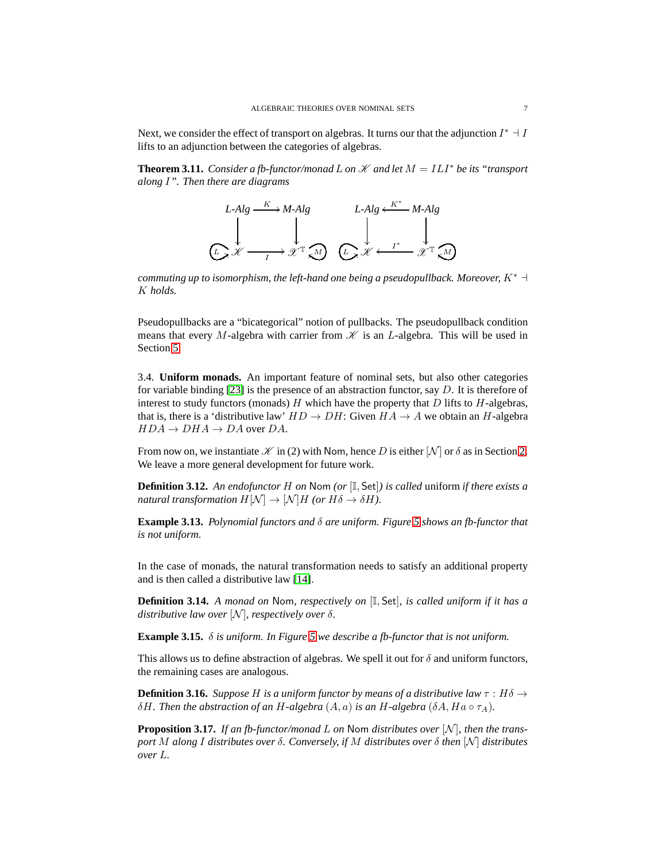Next, we consider the effect of transport on algebras. It turns our that the adjunction  $I^* \dashv I$ lifts to an adjunction between the categories of algebras.

<span id="page-7-4"></span>**Theorem 3.11.** *Consider a fb-functor/monad* L *on*  $K$  *and let*  $M = ILI^*$  *be its "transport along* I*". Then there are diagrams*



*commuting up to isomorphism, the left-hand one being a pseudopullback. Moreover,*  $K^*$   $\neg$ K *holds.*

Pseudopullbacks are a "bicategorical" notion of pullbacks. The pseudopullback condition means that every M-algebra with carrier from  $\mathcal K$  is an L-algebra. This will be used in Section [5.](#page-13-0)

<span id="page-7-1"></span>3.4. **Uniform monads.** An important feature of nominal sets, but also other categories for variable binding  $[23]$  is the presence of an abstraction functor, say D. It is therefore of interest to study functors (monads)  $H$  which have the property that  $D$  lifts to  $H$ -algebras, that is, there is a 'distributive law'  $HD \to DH$ : Given  $HA \to A$  we obtain an H-algebra  $HDA \rightarrow DHA \rightarrow DA$  over DA.

From now on, we instantiate  $\mathcal K$  in (2) with Nom, hence D is either  $[N]$  or  $\delta$  as in Section [2.](#page-2-0) We leave a more general development for future work.

<span id="page-7-2"></span>**Definition 3.12.** *An endofunctor* H *on* Nom *(or* [I, Set]*) is called* uniform *if there exists a natural transformation*  $H[\mathcal{N}] \to [\mathcal{N}]H$  *(or*  $H\delta \to \delta H$ *).* 

**Example 3.13.** *Polynomial functors and* δ *are uniform. Figure [5](#page-12-0) shows an fb-functor that is not uniform.*

In the case of monads, the natural transformation needs to satisfy an additional property and is then called a distributive law [\[14\]](#page-15-8).

<span id="page-7-3"></span>**Definition 3.14.** *A monad on* Nom*, respectively on* [I, Set]*, is called uniform if it has a distributive law over*  $[N]$ *, respectively over*  $\delta$ *.* 

**Example 3.15.** δ *is uniform. In Figure [5](#page-12-0) we describe a fb-functor that is not uniform.*

This allows us to define abstraction of algebras. We spell it out for  $\delta$  and uniform functors, the remaining cases are analogous.

<span id="page-7-0"></span>**Definition 3.16.** *Suppose* H *is a uniform functor by means of a distributive law*  $\tau$  : H $\delta \rightarrow$ δH. Then the abstraction of an H-algebra  $(A, a)$  *is an H-algebra*  $(δA, Ha ∘ τ<sub>A</sub>)$ *.* 

**Proposition 3.17.** If an fb-functor/monad L on Nom distributes over [N], then the trans*port* M *along* I *distributes over* δ*. Conversely, if* M *distributes over* δ *then* [N ] *distributes over* L*.*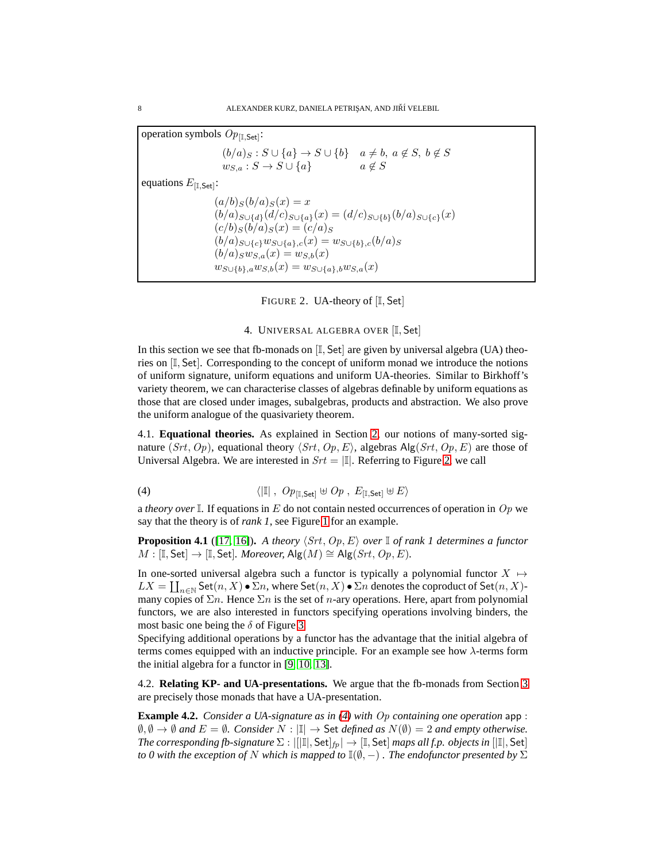operation symbols  $Op_{[\mathbb{I}, \mathsf{Set}]}$ :  $(b/a)_S : S \cup \{a\} \rightarrow S \cup \{b\} \quad a \neq b, \ a \notin S, \ b \notin S$  $w_{S,a}: S \to S \cup \{a\}$   $a \notin S$ equations  $E_{\text{[I,Set]}}$ :  $(a/b)_{S}(b/a)_{S}(x) = x$  $(b/a)_{S\cup\{d\}}(d/c)_{S\cup\{a\}}(x) = (d/c)_{S\cup\{b\}}(b/a)_{S\cup\{c\}}(x)$  $(c/b)_S(\vec{b}/a)_S(x) = (c/a)_S$  $(b/a)_{S\cup\{c\}}w_{S\cup\{a\},c}(x) = w_{S\cup\{b\},c}(b/a)_{S}$  $(b/a)_{S}w_{S,a}(x) = w_{S,b}(x)$  $w_{S\cup \{b\},a}w_{S,b}(x) = w_{S\cup \{a\},b}w_{S,a}(x)$ 

<span id="page-8-0"></span>FIGURE 2. UA-theory of [I, Set]

#### 4. UNIVERSAL ALGEBRA OVER [I, Set]

<span id="page-8-1"></span>In this section we see that fb-monads on  $[I, Set]$  are given by universal algebra (UA) theories on [I, Set]. Corresponding to the concept of uniform monad we introduce the notions of uniform signature, uniform equations and uniform UA-theories. Similar to Birkhoff's variety theorem, we can characterise classes of algebras definable by uniform equations as those that are closed under images, subalgebras, products and abstraction. We also prove the uniform analogue of the quasivariety theorem.

4.1. **Equational theories.** As explained in Section [2,](#page-2-0) our notions of many-sorted signature (Srt, Op), equational theory  $\langle Srt, Op, E \rangle$ , algebras Alg(Srt, Op, E) are those of Universal Algebra. We are interested in  $Srt = |\mathbb{I}|$ . Referring to Figure [2,](#page-8-0) we call

<span id="page-8-2"></span>(4) 
$$
\langle \vert \mathbb{I} \vert , Op_{[I, \mathsf{Set}]} \uplus Op , E_{[I, \mathsf{Set}]} \uplus E \rangle
$$

a *theory over*  $\mathbb{I}$ . If equations in E do not contain nested occurrences of operation in Op we say that the theory is of *rank 1*, see Figure [1](#page-5-0) for an example.

<span id="page-8-3"></span>**Proposition 4.1** ([\[17,](#page-16-4) [16\]](#page-16-5)). A theory  $\langle Srt, Op, E \rangle$  over  $\mathbb{I}$  of rank 1 determines a functor  $M : [\mathbb{I}, \mathsf{Set}] \rightarrow [\mathbb{I}, \mathsf{Set}]$ *. Moreover,* Alg $(M) \cong \mathsf{Alg}(Srt, Op, E)$ *.* 

In one-sorted universal algebra such a functor is typically a polynomial functor  $X \mapsto$  $LX = \coprod_{n\in\mathbb{N}} \operatorname{Set}(n, X) \bullet \Sigma n$ , where  $\operatorname{Set}(n, X) \bullet \Sigma n$  denotes the coproduct of  $\operatorname{Set}(n, X)$ many copies of  $\Sigma n$ . Hence  $\Sigma n$  is the set of *n*-ary operations. Here, apart from polynomial functors, we are also interested in functors specifying operations involving binders, the most basic one being the  $\delta$  of Figure [3.](#page-9-0)

Specifying additional operations by a functor has the advantage that the initial algebra of terms comes equipped with an inductive principle. For an example see how  $\lambda$ -terms form the initial algebra for a functor in [\[9,](#page-15-1) [10,](#page-15-0) [13\]](#page-15-2).

4.2. **Relating KP- and UA-presentations.** We argue that the fb-monads from Section [3](#page-4-1) are precisely those monads that have a UA-presentation.

**Example 4.2.** *Consider a UA-signature as in [\(4\)](#page-8-2) with* Op *containing one operation* app :  $\emptyset$ ,  $\emptyset$  →  $\emptyset$  *and*  $E = \emptyset$ *. Consider*  $N : |\mathbb{I}|$  → Set *defined as*  $N(\emptyset) = 2$  *and empty otherwise. The corresponding fb-signature*  $\Sigma : ||[1||, Set|_{fp}] \rightarrow [1, Set]$  *maps all f.p. objects in*  $||[1], Set$ *to 0 with the exception of* N *which is mapped to*  $\mathbb{I}(\emptyset, -)$  *. The endofunctor presented by*  $\Sigma$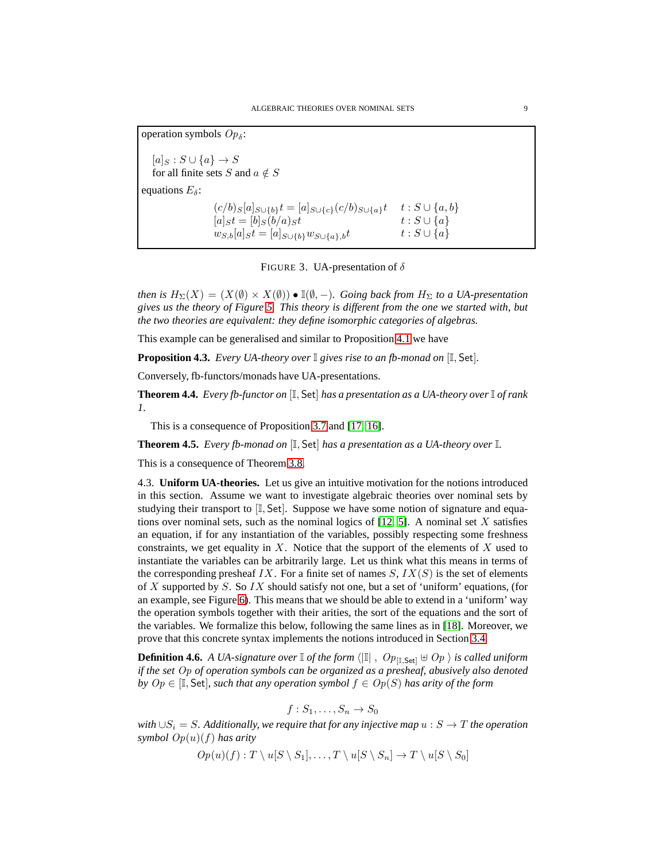operation symbols  $Op_{\delta}$ :  $[a]_S : S \cup \{a\} \rightarrow S$ for all finite sets S and  $a \notin S$ equations  $E_{\delta}$ :  $(c/b)_{S}[a]_{S\cup\{b\}}t = [a]_{S\cup\{c\}}(c/b)_{S\cup\{a\}}t \quad t : S\cup\{a,b\}$  $[a]_S t = [b]_S (b/a)_S t$   $t : S \cup \{a\}$  $w_{S,b}[a]_S t = [a]_{S\cup \{b\}} w_{S\cup \{a\},b} t \hspace{1.5cm} t : S \cup \{a\}$ 

<span id="page-9-0"></span>FIGURE 3. UA-presentation of  $\delta$ 

*then is*  $H_{\Sigma}(X) = (X(\emptyset) \times X(\emptyset)) \bullet \mathbb{I}(\emptyset, -)$ *. Going back from*  $H_{\Sigma}$  *to a UA-presentation gives us the theory of Figure [5.](#page-12-0) This theory is different from the one we started with, but the two theories are equivalent: they define isomorphic categories of algebras.*

This example can be generalised and similar to Proposition [4.1](#page-8-3) we have

<span id="page-9-2"></span>**Proposition 4.3.** *Every UA-theory over* I *gives rise to an fb-monad on* [I, Set]*.*

Conversely, fb-functors/monads have UA-presentations.

**Theorem 4.4.** *Every fb-functor on* [I, Set] *has a presentation as a UA-theory over* I *of rank 1.*

This is a consequence of Proposition [3.7](#page-6-2) and [\[17,](#page-16-4) [16\]](#page-16-5).

**Theorem 4.5.** *Every fb-monad on* [I, Set] *has a presentation as a UA-theory over* I*.*

<span id="page-9-3"></span>This is a consequence of Theorem [3.8.](#page-6-3)

4.3. **Uniform UA-theories.** Let us give an intuitive motivation for the notions introduced in this section. Assume we want to investigate algebraic theories over nominal sets by studying their transport to  $[I, Set]$ . Suppose we have some notion of signature and equations over nominal sets, such as the nominal logics of  $[12, 5]$  $[12, 5]$ . A nominal set X satisfies an equation, if for any instantiation of the variables, possibly respecting some freshness constraints, we get equality in X. Notice that the support of the elements of X used to instantiate the variables can be arbitrarily large. Let us think what this means in terms of the corresponding presheaf IX. For a finite set of names  $S, IX(S)$  is the set of elements of X supported by S. So  $IX$  should satisfy not one, but a set of 'uniform' equations, (for an example, see Figure [6\)](#page-14-0). This means that we should be able to extend in a 'uniform' way the operation symbols together with their arities, the sort of the equations and the sort of the variables. We formalize this below, following the same lines as in [\[18\]](#page-16-6). Moreover, we prove that this concrete syntax implements the notions introduced in Section [3.4.](#page-7-1)

<span id="page-9-1"></span>**Definition 4.6.** *A UA-signature over*  $\mathbb{I}$  *of the form*  $\langle |\mathbb{I}|$  ,  $Op_{\mathbb{I}.\mathsf{Set}} \oplus Op$  *is called uniform if the set* Op *of operation symbols can be organized as a presheaf, abusively also denoted by*  $Op \in [I, Set]$ *, such that any operation symbol*  $f \in Op(S)$  *has arity of the form* 

$$
f:S_1,\ldots,S_n\to S_0
$$

*with*  $\cup S_i = S$ *. Additionally, we require that for any injective map*  $u : S \rightarrow T$  *the operation symbol* Op(u)(f) *has arity*

 $Op(u)(f): T \setminus u[S \setminus S_1], \ldots, T \setminus u[S \setminus S_n] \to T \setminus u[S \setminus S_0]$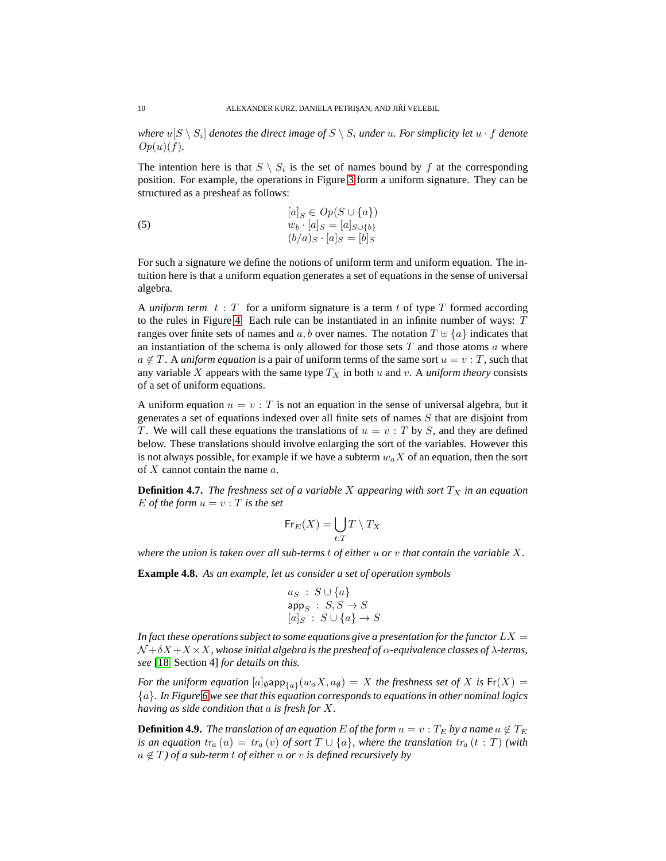where  $u[S \setminus S_i]$  denotes the direct image of  $S \setminus S_i$  under  $u.$  For simplicity let  $u \cdot f$  denote  $Op(u)(f)$ .

The intention here is that  $S \setminus S_i$  is the set of names bound by f at the corresponding position. For example, the operations in Figure [3](#page-9-0) form a uniform signature. They can be structured as a presheaf as follows:

(5) 
$$
[a]_S \in Op(S \cup \{a\})
$$
  
\n $w_b \cdot [a]_S = [a]_{S \cup \{b\}}$   
\n $(b/a)_S \cdot [a]_S = [b]_S$ 

For such a signature we define the notions of uniform term and uniform equation. The intuition here is that a uniform equation generates a set of equations in the sense of universal algebra.

A *uniform term*  $t : T$  for a uniform signature is a term  $t$  of type  $T$  formed according to the rules in Figure [4.](#page-12-1) Each rule can be instantiated in an infinite number of ways:  $T$ ranges over finite sets of names and  $a, b$  over names. The notation  $T \oplus \{a\}$  indicates that an instantiation of the schema is only allowed for those sets  $T$  and those atoms  $\alpha$  where  $a \notin T$ . A *uniform equation* is a pair of uniform terms of the same sort  $u = v : T$ , such that any variable X appears with the same type  $T_X$  in both u and v. A *uniform theory* consists of a set of uniform equations.

A uniform equation  $u = v : T$  is not an equation in the sense of universal algebra, but it generates a set of equations indexed over all finite sets of names S that are disjoint from T. We will call these equations the translations of  $u = v : T$  by S, and they are defined below. These translations should involve enlarging the sort of the variables. However this is not always possible, for example if we have a subterm  $w_a X$  of an equation, then the sort of  $X$  cannot contain the name  $a$ .

**Definition 4.7.** *The freshness set of a variable X appearing with sort*  $T_X$  *in an equation* E *of the form*  $u = v : T$  *is the set* 

$$
\mathsf{Fr}_E(X) = \bigcup_{t:T} T \setminus T_X
$$

*where the union is taken over all sub-terms* t *of either* u *or* v *that contain the variable* X*.*

<span id="page-10-0"></span>**Example 4.8.** *As an example, let us consider a set of operation symbols*

$$
a_S : S \cup \{a\}
$$
  
app<sub>S</sub> : S, S \rightarrow S  
[a]<sub>S</sub> : S \cup \{a\} \rightarrow S

In fact these operations subject to some equations give a presentation for the functor  $LX =$  $N + \delta X + X \times X$ , whose initial algebra is the presheaf of  $\alpha$ -equivalence classes of  $\lambda$ -terms, *see* [\[18,](#page-16-6) Section 4] *for details on this.*

*For the uniform equation*  $[a]_{\emptyset}$  app $_{\{a\}}(w_a X, a_{\emptyset}) = X$  *the freshness set of* X *is*  $Fr(X) =$ {a}*. In Figure [6](#page-14-0) we see that this equation corresponds to equations in other nominal logics having as side condition that* a *is fresh for* X*.*

**Definition 4.9.** *The translation of an equation* E *of the form*  $u = v : T_E$  *by a name*  $a \notin T_E$ *is an equation*  $tr_a(u) = tr_a(v)$  *of sort*  $T \cup \{a\}$ *, where the translation*  $tr_a(t:T)$  *(with*  $a \notin T$ *) of a sub-term t of either* u *or* v *is defined recursively by*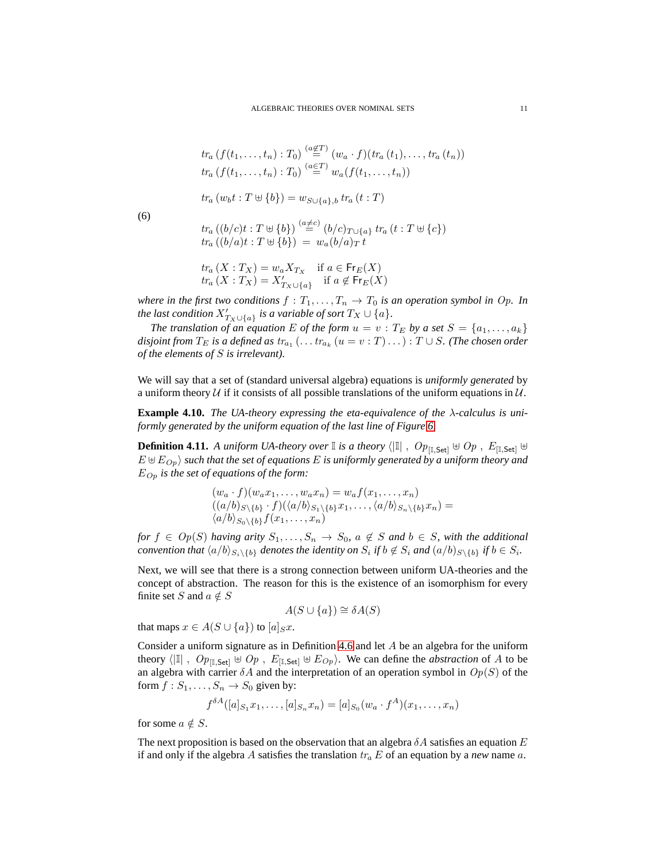$$
tr_a(f(t_1,\ldots,t_n):T_0)\stackrel{(a\in T)}{=} (w_a\cdot f)(tr_a(t_1),\ldots,tr_a(t_n))
$$
  

$$
tr_a(f(t_1,\ldots,t_n):T_0)\stackrel{(a\in T)}{=} w_a(f(t_1,\ldots,t_n))
$$

$$
r_a(w_b t : T \oplus \{b\}) = w_{S \cup \{a\},b} \, tr_a(t : T)
$$

$$
(6)
$$

<span id="page-11-0"></span>
$$
tr_a ((b/c)t : T \uplus {b}) \stackrel{(a \neq c)}{=} (b/c)_{T \cup \{a\}} tr_a (t : T \uplus {c})
$$
  

$$
tr_a ((b/a)t : T \uplus {b}) = w_a (b/a)_T t
$$

$$
tr_a(X: T_X) = w_a X_{T_X} \quad \text{if } a \in \mathsf{Fr}_E(X)
$$
  

$$
tr_a(X: T_X) = X'_{T_X \cup \{a\}} \quad \text{if } a \notin \mathsf{Fr}_E(X)
$$

*where in the first two conditions*  $f : T_1, \ldots, T_n \to T_0$  *is an operation symbol in Op. In the last condition*  $X'_{T_X \cup \{a\}}$  *is a variable of sort*  $T_X \cup \{a\}$ *.* 

*The translation of an equation E of the form*  $u = v : T_E$  *by a set*  $S = \{a_1, \ldots, a_k\}$  $disjoint$  from  $T_E$  is a defined as  $\textit{tr}_{a_1} \left( \ldots \textit{tr}_{a_k} \left( u = v : T \right) \ldots \right)$  :  $T \cup S.$  (The chosen order *of the elements of* S *is irrelevant).*

We will say that a set of (standard universal algebra) equations is *uniformly generated* by a uniform theory  $U$  if it consists of all possible translations of the uniform equations in  $U$ .

**Example 4.10.** *The UA-theory expressing the eta-equivalence of the* λ*-calculus is uniformly generated by the uniform equation of the last line of Figure [6.](#page-14-0)*

**Definition 4.11.** *A uniform UA-theory over*  $\mathbb{I}$  *is a theory*  $\langle |\mathbb{I}|$  ,  $Op_{[\mathbb{I}, \mathsf{Set}]} \oplus Op$  ,  $E_{[\mathbb{I}, \mathsf{Set}]} \oplus$  $E \oplus E_{Op}$  *such that the set of equations* E *is uniformly generated by a uniform theory and*  $E_{Op}$  *is the set of equations of the form:* 

$$
(w_a \cdot f)(w_a x_1, \ldots, w_a x_n) = w_a f(x_1, \ldots, x_n)
$$
  

$$
((a/b)_{S \setminus \{b\}} \cdot f)(\langle a/b \rangle_{S_1 \setminus \{b\}} x_1, \ldots, \langle a/b \rangle_{S_n \setminus \{b\}} x_n) =
$$
  

$$
\langle a/b \rangle_{S_0 \setminus \{b\}} f(x_1, \ldots, x_n)
$$

*for*  $f \in Op(S)$  *having arity*  $S_1, \ldots, S_n \to S_0$ ,  $a \notin S$  *and*  $b \in S$ *, with the additional convention that*  $\langle a/b \rangle_{S_i \setminus \{b\}}$  *denotes the identity on*  $S_i$  *if*  $b \notin S_i$  *and*  $(a/b)_{S \setminus \{b\}}$  *if*  $b \in S_i$ *.* 

Next, we will see that there is a strong connection between uniform UA-theories and the concept of abstraction. The reason for this is the existence of an isomorphism for every finite set S and  $a \notin S$ 

$$
A(S \cup \{a\}) \cong \delta A(S)
$$

that maps  $x \in A(S \cup \{a\})$  to  $[a]_S x$ .

Consider a uniform signature as in Definition [4.6](#page-9-1) and let A be an algebra for the uniform theory  $\langle \vert \mathbb{I} \vert$ ,  $Op_{\mathbb{I},\mathsf{Set}} \uplus Op$ ,  $E_{\mathbb{I},\mathsf{Set}} \uplus E_{Op}$ . We can define the *abstraction* of A to be an algebra with carrier  $\delta A$  and the interpretation of an operation symbol in  $Op(S)$  of the form  $f: S_1, \ldots, S_n \rightarrow S_0$  given by:

$$
f^{\delta A}([a]_{S_1}x_1,\ldots,[a]_{S_n}x_n)=[a]_{S_0}(w_a\cdot f^A)(x_1,\ldots,x_n)
$$

for some  $a \notin S$ .

The next proposition is based on the observation that an algebra  $\delta A$  satisfies an equation E if and only if the algebra A satisfies the translation  $tr_a E$  of an equation by a *new* name a.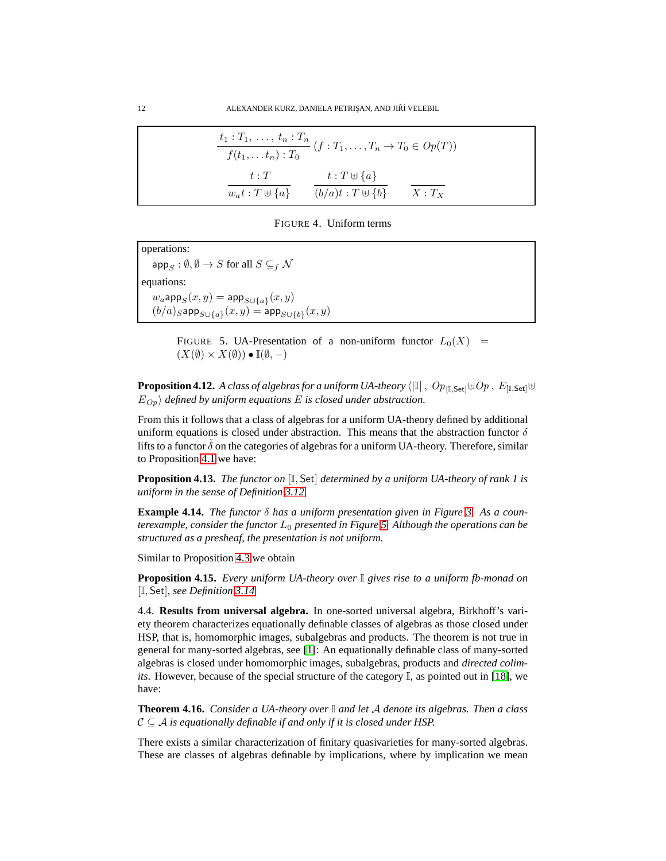| $\frac{t_1: T_1, \ldots, t_n: T_n}{f(t_1, \ldots, t_n): T_0}$ $(f: T_1, \ldots, T_n \to T_0 \in Op(T))$ |                                                          |  |
|---------------------------------------------------------------------------------------------------------|----------------------------------------------------------|--|
| t:T<br>$w_a t : T \oplus \{a\}$                                                                         | $t: T \cup \{a\}$<br>$(b/a)t : T \oplus \{b\}$ $X : T_X$ |  |

<span id="page-12-1"></span>FIGURE 4. Uniform terms

operations:  $\mathsf{app}_S : \emptyset, \emptyset \to S$  for all  $S \subseteq_f \mathcal{N}$ equations:  $w_a$ app $_{S}(x,y) = \mathsf{app}_{S \cup \{a\}}(x,y)$  $(b/a)_S$ арр $_{S\cup \{a\}}(x,y) =$  арр $_{S\cup \{b\}}(x,y)$ 

> <span id="page-12-0"></span>FIGURE 5. UA-Presentation of a non-uniform functor  $L_0(X)$  =  $(X(\emptyset) \times X(\emptyset)) \bullet \mathbb{I}(\emptyset, -)$

<span id="page-12-2"></span>**Proposition 4.12.** *A class of algebras for a uniform UA-theory*  $\langle \vert \mathbb{I} \vert$  ,  $Op_{\mathbb{I} \cup S}$ <sub>Etl</sub>⊎ $Op$  ,  $E_{\mathbb{I} \cup S}$ <sub>Etl</sub>⊎  $E_{Op}$  *defined by uniform equations* E *is closed under abstraction.* 

From this it follows that a class of algebras for a uniform UA-theory defined by additional uniform equations is closed under abstraction. This means that the abstraction functor  $\delta$ lifts to a functor  $\delta$  on the categories of algebras for a uniform UA-theory. Therefore, similar to Proposition [4.1](#page-8-3) we have:

**Proposition 4.13.** *The functor on* [I, Set] *determined by a uniform UA-theory of rank 1 is uniform in the sense of Definition [3.12.](#page-7-2)*

**Example 4.14.** *The functor* δ *has a uniform presentation given in Figure [3.](#page-9-0) As a counterexample, consider the functor* L<sup>0</sup> *presented in Figure [5.](#page-12-0) Although the operations can be structured as a presheaf, the presentation is not uniform.*

Similar to Proposition [4.3](#page-9-2) we obtain

**Proposition 4.15.** *Every uniform UA-theory over* I *gives rise to a uniform fb-monad on* [I, Set]*, see Definition [3.14.](#page-7-3)*

4.4. **Results from universal algebra.** In one-sorted universal algebra, Birkhoff's variety theorem characterizes equationally definable classes of algebras as those closed under HSP, that is, homomorphic images, subalgebras and products. The theorem is not true in general for many-sorted algebras, see [\[1\]](#page-15-9): An equationally definable class of many-sorted algebras is closed under homomorphic images, subalgebras, products and *directed colimits*. However, because of the special structure of the category  $\mathbb{I}$ , as pointed out in [\[18\]](#page-16-6), we have:

<span id="page-12-3"></span>**Theorem 4.16.** *Consider a UA-theory over* I *and let* A *denote its algebras. Then a class*  $C \subseteq A$  *is equationally definable if and only if it is closed under HSP.* 

There exists a similar characterization of finitary quasivarieties for many-sorted algebras. These are classes of algebras definable by implications, where by implication we mean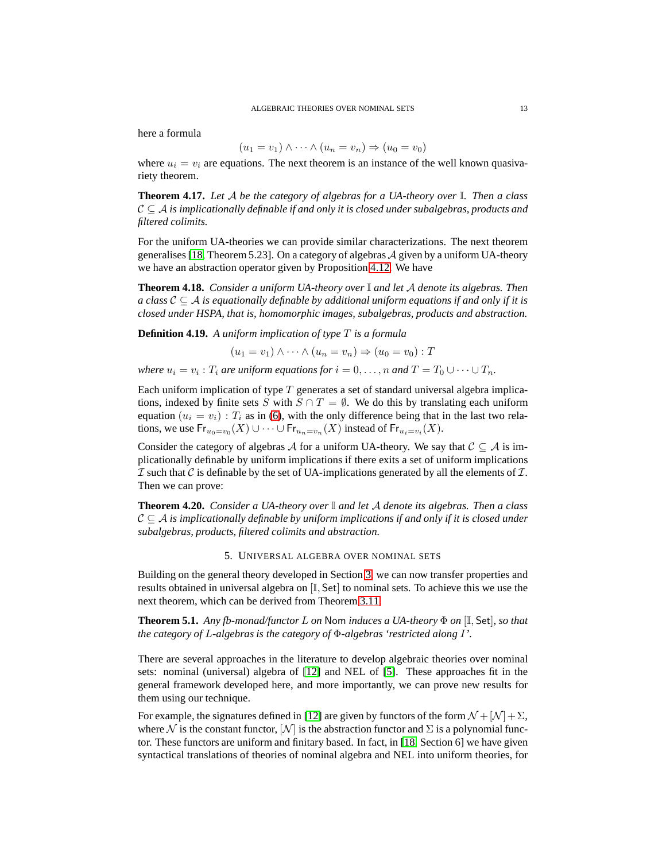here a formula

$$
(u_1 = v_1) \wedge \cdots \wedge (u_n = v_n) \Rightarrow (u_0 = v_0)
$$

where  $u_i = v_i$  are equations. The next theorem is an instance of the well known quasivariety theorem.

**Theorem 4.17.** *Let* A *be the category of algebras for a UA-theory over* I*. Then a class*  $C \subseteq \mathcal{A}$  *is implicationally definable if and only it is closed under subalgebras, products and filtered colimits.*

For the uniform UA-theories we can provide similar characterizations. The next theorem generalises [\[18,](#page-16-6) Theorem 5.23]. On a category of algebras  $\mathcal A$  given by a uniform UA-theory we have an abstraction operator given by Proposition [4.12.](#page-12-2) We have

<span id="page-13-1"></span>**Theorem 4.18.** *Consider a uniform UA-theory over* I *and let* A *denote its algebras. Then a class*  $C \subseteq A$  *is equationally definable by additional uniform equations if and only if it is closed under HSPA, that is, homomorphic images, subalgebras, products and abstraction.*

**Definition 4.19.** *A uniform implication of type* T *is a formula*

$$
(u_1 = v_1) \wedge \cdots \wedge (u_n = v_n) \Rightarrow (u_0 = v_0) : T
$$

*where*  $u_i = v_i$ :  $T_i$  *are uniform equations for*  $i = 0, \ldots, n$  *and*  $T = T_0 \cup \cdots \cup T_n$ *.* 

Each uniform implication of type  $T$  generates a set of standard universal algebra implications, indexed by finite sets S with  $S \cap T = \emptyset$ . We do this by translating each uniform equation ( $u_i = v_i$ ) :  $T_i$  as in [\(6\)](#page-11-0), with the only difference being that in the last two relations, we use  $\mathsf{Fr}_{u_0=v_0}(X)\cup\cdots\cup\mathsf{Fr}_{u_n=v_n}(X)$  instead of  $\mathsf{Fr}_{u_i=v_i}(X)$ .

Consider the category of algebras A for a uniform UA-theory. We say that  $C \subseteq A$  is implicationally definable by uniform implications if there exits a set of uniform implications  $\mathcal I$  such that  $\mathcal C$  is definable by the set of UA-implications generated by all the elements of  $\mathcal I$ . Then we can prove:

<span id="page-13-2"></span>**Theorem 4.20.** *Consider a UA-theory over* I *and let* A *denote its algebras. Then a class* C ⊆ A *is implicationally definable by uniform implications if and only if it is closed under subalgebras, products, filtered colimits and abstraction.*

#### 5. UNIVERSAL ALGEBRA OVER NOMINAL SETS

<span id="page-13-0"></span>Building on the general theory developed in Section [3,](#page-4-1) we can now transfer properties and results obtained in universal algebra on [I, Set] to nominal sets. To achieve this we use the next theorem, which can be derived from Theorem [3.11.](#page-7-4)

**Theorem 5.1.** *Any fb-monad/functor* L *on* Nom *induces a UA-theory* Φ *on* [I, Set]*, so that the category of* L*-algebras is the category of* Φ*-algebras 'restricted along* I*'.*

There are several approaches in the literature to develop algebraic theories over nominal sets: nominal (universal) algebra of [\[12\]](#page-15-4) and NEL of [\[5\]](#page-15-5). These approaches fit in the general framework developed here, and more importantly, we can prove new results for them using our technique.

For example, the signatures defined in [\[12\]](#page-15-4) are given by functors of the form  $\mathcal{N} + [\mathcal{N}] + \Sigma$ , where N is the constant functor,  $[N]$  is the abstraction functor and  $\Sigma$  is a polynomial functor. These functors are uniform and finitary based. In fact, in [\[18,](#page-16-6) Section 6] we have given syntactical translations of theories of nominal algebra and NEL into uniform theories, for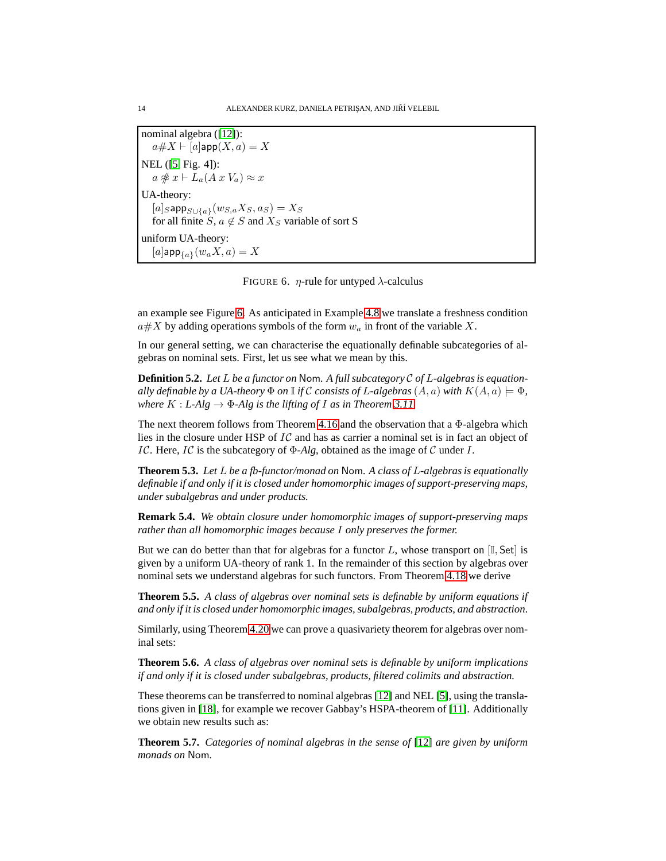nominal algebra ([\[12\]](#page-15-4)):  $a\#X \vdash [a]$ app $(X, a) = X$ NEL ([\[5,](#page-15-5) Fig. 4]):  $a \not\cong x \vdash L_a(A x V_a) \approx x$ UA-theory:  $[a]_S$ app $_{S\cup \{a\}}(w_{S,a}X_S,a_S)=X_S$ for all finite S,  $a \notin S$  and  $X_S$  variable of sort S uniform UA-theory: [a] $\mathsf{app}_{\{a\}}(w_a X, a) = X$ 

<span id="page-14-0"></span>FIGURE 6.  $\eta$ -rule for untyped  $\lambda$ -calculus

an example see Figure [6.](#page-14-0) As anticipated in Example [4.8](#page-10-0) we translate a freshness condition  $a \# X$  by adding operations symbols of the form  $w_a$  in front of the variable X.

In our general setting, we can characterise the equationally definable subcategories of algebras on nominal sets. First, let us see what we mean by this.

**Definition 5.2.** *Let* L *be a functor on* Nom*. A full subcategory* C *of* L*-algebras is equationally definable by a UA-theory*  $\Phi$  *on* I *if* C consists of L-algebras  $(A, a)$  with  $K(A, a) \models \Phi$ , *where*  $K : L-Alg \to \Phi-Alg$  *is the lifting of I as in Theorem [3.11.](#page-7-4)* 

The next theorem follows from Theorem [4.16](#page-12-3) and the observation that a  $\Phi$ -algebra which lies in the closure under HSP of IC and has as carrier a nominal set is in fact an object of IC. Here, IC is the subcategory of Φ*-Alg*, obtained as the image of C under I.

**Theorem 5.3.** *Let* L *be a fb-functor/monad on* Nom*. A class of* L*-algebras is equationally definable if and only if it is closed under homomorphic images of support-preserving maps, under subalgebras and under products.*

**Remark 5.4.** *We obtain closure under homomorphic images of support-preserving maps rather than all homomorphic images because* I *only preserves the former.*

But we can do better than that for algebras for a functor L, whose transport on  $[I, Set]$  is given by a uniform UA-theory of rank 1. In the remainder of this section by algebras over nominal sets we understand algebras for such functors. From Theorem [4.18](#page-13-1) we derive

**Theorem 5.5.** *A class of algebras over nominal sets is definable by uniform equations if and only if it is closed under homomorphic images, subalgebras, products, and abstraction.*

Similarly, using Theorem [4.20](#page-13-2) we can prove a quasivariety theorem for algebras over nominal sets:

**Theorem 5.6.** *A class of algebras over nominal sets is definable by uniform implications if and only if it is closed under subalgebras, products, filtered colimits and abstraction.*

These theorems can be transferred to nominal algebras [\[12\]](#page-15-4) and NEL [\[5\]](#page-15-5), using the translations given in [\[18\]](#page-16-6), for example we recover Gabbay's HSPA-theorem of [\[11\]](#page-15-3). Additionally we obtain new results such as:

**Theorem 5.7.** *Categories of nominal algebras in the sense of* [\[12\]](#page-15-4) *are given by uniform monads on* Nom*.*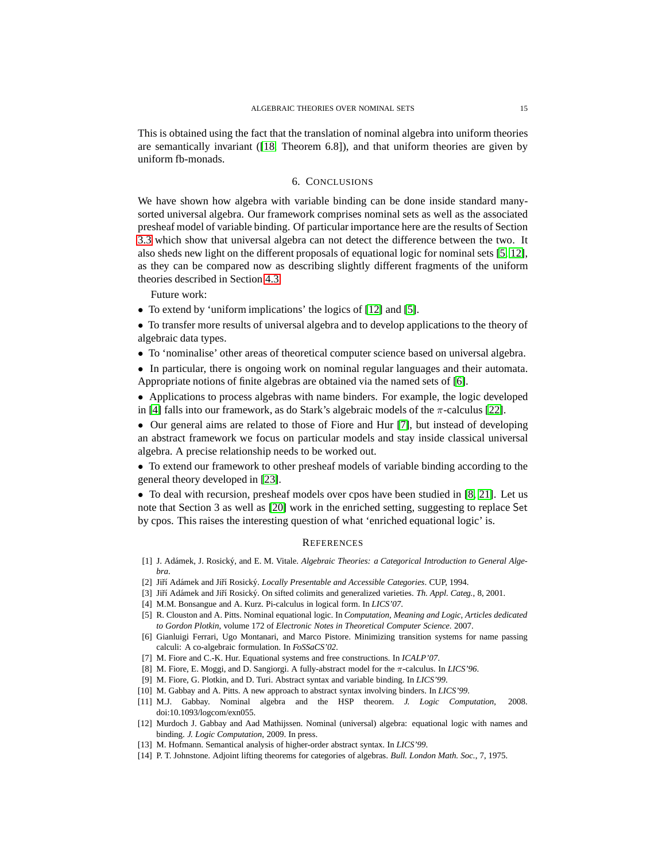This is obtained using the fact that the translation of nominal algebra into uniform theories are semantically invariant ([\[18,](#page-16-6) Theorem 6.8]), and that uniform theories are given by uniform fb-monads.

#### 6. CONCLUSIONS

We have shown how algebra with variable binding can be done inside standard manysorted universal algebra. Our framework comprises nominal sets as well as the associated presheaf model of variable binding. Of particular importance here are the results of Section [3.3](#page-6-0) which show that universal algebra can not detect the difference between the two. It also sheds new light on the different proposals of equational logic for nominal sets [\[5,](#page-15-5) [12\]](#page-15-4), as they can be compared now as describing slightly different fragments of the uniform theories described in Section [4.3.](#page-9-3)

Future work:

- To extend by 'uniform implications' the logics of [\[12\]](#page-15-4) and [\[5\]](#page-15-5).
- To transfer more results of universal algebra and to develop applications to the theory of algebraic data types.
- To 'nominalise' other areas of theoretical computer science based on universal algebra.

• In particular, there is ongoing work on nominal regular languages and their automata. Appropriate notions of finite algebras are obtained via the named sets of [\[6\]](#page-15-10).

- Applications to process algebras with name binders. For example, the logic developed in [\[4\]](#page-15-11) falls into our framework, as do Stark's algebraic models of the  $\pi$ -calculus [\[22\]](#page-16-7).
- Our general aims are related to those of Fiore and Hur [\[7\]](#page-15-12), but instead of developing an abstract framework we focus on particular models and stay inside classical universal algebra. A precise relationship needs to be worked out.

• To extend our framework to other presheaf models of variable binding according to the general theory developed in [\[23\]](#page-16-0).

• To deal with recursion, presheaf models over cpos have been studied in [\[8,](#page-15-13) [21\]](#page-16-8). Let us note that Section 3 as well as [\[20\]](#page-16-9) work in the enriched setting, suggesting to replace Set by cpos. This raises the interesting question of what 'enriched equational logic' is.

#### **REFERENCES**

- <span id="page-15-9"></span>[1] J. Ad´amek, J. Rosick´y, and E. M. Vitale. *Algebraic Theories: a Categorical Introduction to General Algebra*.
- <span id="page-15-7"></span><span id="page-15-6"></span>[2] Jiří Adámek and Jiří Rosický. *Locally Presentable and Accessible Categories*. CUP, 1994.
- <span id="page-15-11"></span>[3] Jiří Adámek and Jiří Rosický. On sifted colimits and generalized varieties. *Th. Appl. Categ.*, 8, 2001.
- <span id="page-15-5"></span>[4] M.M. Bonsangue and A. Kurz. Pi-calculus in logical form. In *LICS'07*.
- [5] R. Clouston and A. Pitts. Nominal equational logic. In *Computation, Meaning and Logic, Articles dedicated to Gordon Plotkin*, volume 172 of *Electronic Notes in Theoretical Computer Science*. 2007.
- <span id="page-15-10"></span>[6] Gianluigi Ferrari, Ugo Montanari, and Marco Pistore. Minimizing transition systems for name passing calculi: A co-algebraic formulation. In *FoSSaCS'02*.
- <span id="page-15-13"></span><span id="page-15-12"></span>[7] M. Fiore and C.-K. Hur. Equational systems and free constructions. In *ICALP'07*.
- <span id="page-15-1"></span>[8] M. Fiore, E. Moggi, and D. Sangiorgi. A fully-abstract model for the π-calculus. In *LICS'96*.
- <span id="page-15-0"></span>[9] M. Fiore, G. Plotkin, and D. Turi. Abstract syntax and variable binding. In *LICS'99*.
- <span id="page-15-3"></span>[10] M. Gabbay and A. Pitts. A new approach to abstract syntax involving binders. In *LICS'99*.
- [11] M.J. Gabbay. Nominal algebra and the HSP theorem. *J. Logic Computation*, 2008. doi:10.1093/logcom/exn055.
- <span id="page-15-4"></span>[12] Murdoch J. Gabbay and Aad Mathijssen. Nominal (universal) algebra: equational logic with names and binding. *J. Logic Computation*, 2009. In press.
- <span id="page-15-8"></span><span id="page-15-2"></span>[13] M. Hofmann. Semantical analysis of higher-order abstract syntax. In *LICS'99*.
- [14] P. T. Johnstone. Adjoint lifting theorems for categories of algebras. *Bull. London Math. Soc.*, 7, 1975.